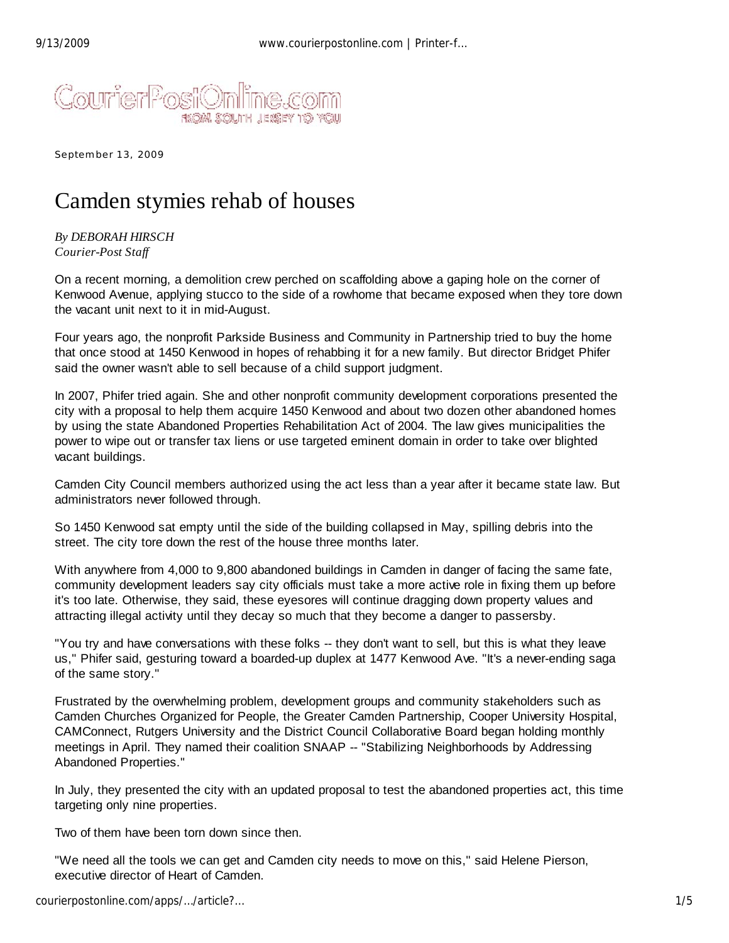

September 13, 2009

## Camden stymies rehab of houses

*By DEBORAH HIRSCH Courier-Post Staff*

On a recent morning, a demolition crew perched on scaffolding above a gaping hole on the corner of Kenwood Avenue, applying stucco to the side of a rowhome that became exposed when they tore down the vacant unit next to it in mid-August.

Four years ago, the nonprofit Parkside Business and Community in Partnership tried to buy the home that once stood at 1450 Kenwood in hopes of rehabbing it for a new family. But director Bridget Phifer said the owner wasn't able to sell because of a child support judgment.

In 2007, Phifer tried again. She and other nonprofit community development corporations presented the city with a proposal to help them acquire 1450 Kenwood and about two dozen other abandoned homes by using the state Abandoned Properties Rehabilitation Act of 2004. The law gives municipalities the power to wipe out or transfer tax liens or use targeted eminent domain in order to take over blighted vacant buildings.

Camden City Council members authorized using the act less than a year after it became state law. But administrators never followed through.

So 1450 Kenwood sat empty until the side of the building collapsed in May, spilling debris into the street. The city tore down the rest of the house three months later.

With anywhere from 4,000 to 9,800 abandoned buildings in Camden in danger of facing the same fate, community development leaders say city officials must take a more active role in fixing them up before it's too late. Otherwise, they said, these eyesores will continue dragging down property values and attracting illegal activity until they decay so much that they become a danger to passersby.

"You try and have conversations with these folks -- they don't want to sell, but this is what they leave us," Phifer said, gesturing toward a boarded-up duplex at 1477 Kenwood Ave. "It's a never-ending saga of the same story."

Frustrated by the overwhelming problem, development groups and community stakeholders such as Camden Churches Organized for People, the Greater Camden Partnership, Cooper University Hospital, CAMConnect, Rutgers University and the District Council Collaborative Board began holding monthly meetings in April. They named their coalition SNAAP -- "Stabilizing Neighborhoods by Addressing Abandoned Properties."

In July, they presented the city with an updated proposal to test the abandoned properties act, this time targeting only nine properties.

Two of them have been torn down since then.

"We need all the tools we can get and Camden city needs to move on this," said Helene Pierson, executive director of Heart of Camden.

courierpostonline.com/apps/…/article?… 1/5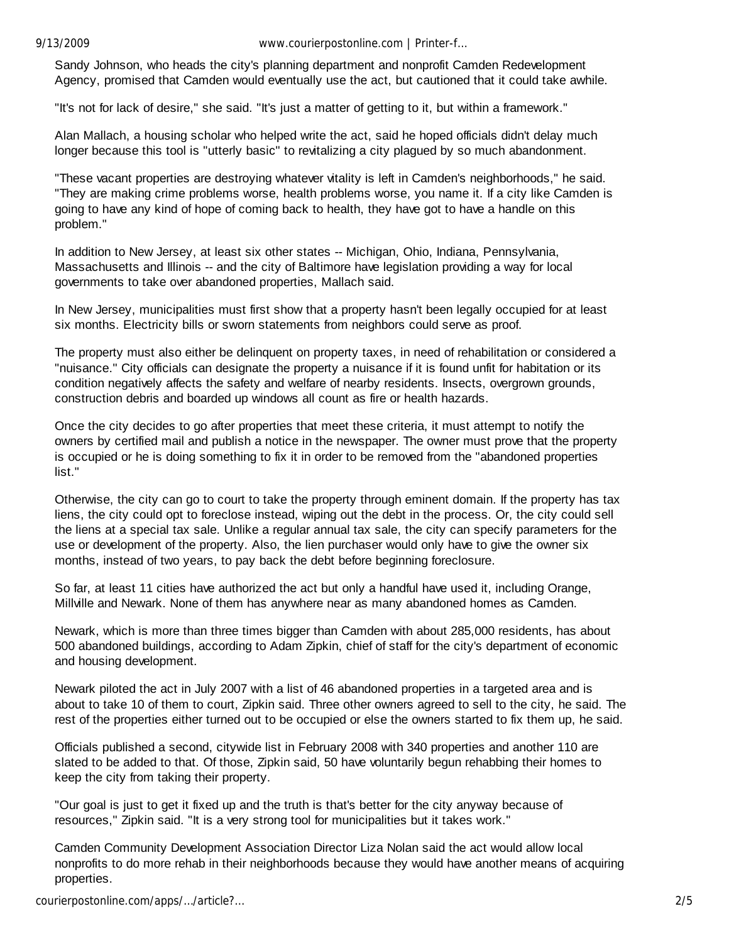9/13/2009 www.courierpostonline.com | Printer-f…

Sandy Johnson, who heads the city's planning department and nonprofit Camden Redevelopment Agency, promised that Camden would eventually use the act, but cautioned that it could take awhile.

"It's not for lack of desire," she said. "It's just a matter of getting to it, but within a framework."

Alan Mallach, a housing scholar who helped write the act, said he hoped officials didn't delay much longer because this tool is "utterly basic" to revitalizing a city plagued by so much abandonment.

"These vacant properties are destroying whatever vitality is left in Camden's neighborhoods," he said. "They are making crime problems worse, health problems worse, you name it. If a city like Camden is going to have any kind of hope of coming back to health, they have got to have a handle on this problem."

In addition to New Jersey, at least six other states -- Michigan, Ohio, Indiana, Pennsylvania, Massachusetts and Illinois -- and the city of Baltimore have legislation providing a way for local governments to take over abandoned properties, Mallach said.

In New Jersey, municipalities must first show that a property hasn't been legally occupied for at least six months. Electricity bills or sworn statements from neighbors could serve as proof.

The property must also either be delinquent on property taxes, in need of rehabilitation or considered a "nuisance." City officials can designate the property a nuisance if it is found unfit for habitation or its condition negatively affects the safety and welfare of nearby residents. Insects, overgrown grounds, construction debris and boarded up windows all count as fire or health hazards.

Once the city decides to go after properties that meet these criteria, it must attempt to notify the owners by certified mail and publish a notice in the newspaper. The owner must prove that the property is occupied or he is doing something to fix it in order to be removed from the "abandoned properties list."

Otherwise, the city can go to court to take the property through eminent domain. If the property has tax liens, the city could opt to foreclose instead, wiping out the debt in the process. Or, the city could sell the liens at a special tax sale. Unlike a regular annual tax sale, the city can specify parameters for the use or development of the property. Also, the lien purchaser would only have to give the owner six months, instead of two years, to pay back the debt before beginning foreclosure.

So far, at least 11 cities have authorized the act but only a handful have used it, including Orange, Millville and Newark. None of them has anywhere near as many abandoned homes as Camden.

Newark, which is more than three times bigger than Camden with about 285,000 residents, has about 500 abandoned buildings, according to Adam Zipkin, chief of staff for the city's department of economic and housing development.

Newark piloted the act in July 2007 with a list of 46 abandoned properties in a targeted area and is about to take 10 of them to court, Zipkin said. Three other owners agreed to sell to the city, he said. The rest of the properties either turned out to be occupied or else the owners started to fix them up, he said.

Officials published a second, citywide list in February 2008 with 340 properties and another 110 are slated to be added to that. Of those, Zipkin said, 50 have voluntarily begun rehabbing their homes to keep the city from taking their property.

"Our goal is just to get it fixed up and the truth is that's better for the city anyway because of resources," Zipkin said. "It is a very strong tool for municipalities but it takes work."

Camden Community Development Association Director Liza Nolan said the act would allow local nonprofits to do more rehab in their neighborhoods because they would have another means of acquiring properties.

courierpostonline.com/apps/…/article?… 2/5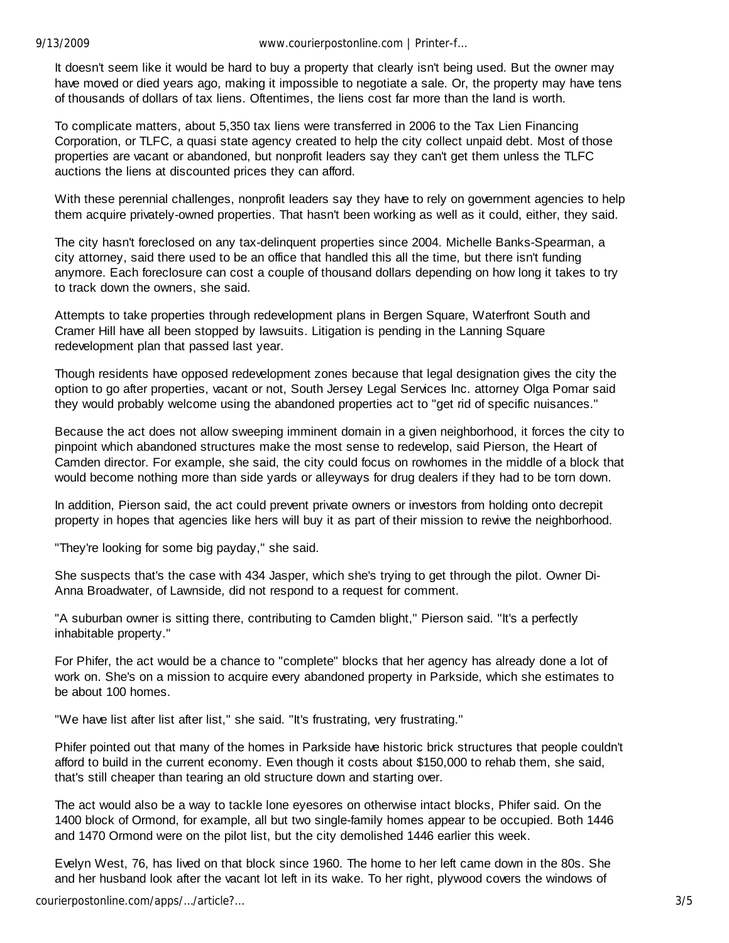It doesn't seem like it would be hard to buy a property that clearly isn't being used. But the owner may have moved or died years ago, making it impossible to negotiate a sale. Or, the property may have tens of thousands of dollars of tax liens. Oftentimes, the liens cost far more than the land is worth.

To complicate matters, about 5,350 tax liens were transferred in 2006 to the Tax Lien Financing Corporation, or TLFC, a quasi state agency created to help the city collect unpaid debt. Most of those properties are vacant or abandoned, but nonprofit leaders say they can't get them unless the TLFC auctions the liens at discounted prices they can afford.

With these perennial challenges, nonprofit leaders say they have to rely on government agencies to help them acquire privately-owned properties. That hasn't been working as well as it could, either, they said.

The city hasn't foreclosed on any tax-delinquent properties since 2004. Michelle Banks-Spearman, a city attorney, said there used to be an office that handled this all the time, but there isn't funding anymore. Each foreclosure can cost a couple of thousand dollars depending on how long it takes to try to track down the owners, she said.

Attempts to take properties through redevelopment plans in Bergen Square, Waterfront South and Cramer Hill have all been stopped by lawsuits. Litigation is pending in the Lanning Square redevelopment plan that passed last year.

Though residents have opposed redevelopment zones because that legal designation gives the city the option to go after properties, vacant or not, South Jersey Legal Services Inc. attorney Olga Pomar said they would probably welcome using the abandoned properties act to "get rid of specific nuisances."

Because the act does not allow sweeping imminent domain in a given neighborhood, it forces the city to pinpoint which abandoned structures make the most sense to redevelop, said Pierson, the Heart of Camden director. For example, she said, the city could focus on rowhomes in the middle of a block that would become nothing more than side yards or alleyways for drug dealers if they had to be torn down.

In addition, Pierson said, the act could prevent private owners or investors from holding onto decrepit property in hopes that agencies like hers will buy it as part of their mission to revive the neighborhood.

"They're looking for some big payday," she said.

She suspects that's the case with 434 Jasper, which she's trying to get through the pilot. Owner Di-Anna Broadwater, of Lawnside, did not respond to a request for comment.

"A suburban owner is sitting there, contributing to Camden blight," Pierson said. "It's a perfectly inhabitable property."

For Phifer, the act would be a chance to "complete" blocks that her agency has already done a lot of work on. She's on a mission to acquire every abandoned property in Parkside, which she estimates to be about 100 homes.

"We have list after list after list," she said. "It's frustrating, very frustrating."

Phifer pointed out that many of the homes in Parkside have historic brick structures that people couldn't afford to build in the current economy. Even though it costs about \$150,000 to rehab them, she said, that's still cheaper than tearing an old structure down and starting over.

The act would also be a way to tackle lone eyesores on otherwise intact blocks, Phifer said. On the 1400 block of Ormond, for example, all but two single-family homes appear to be occupied. Both 1446 and 1470 Ormond were on the pilot list, but the city demolished 1446 earlier this week.

Evelyn West, 76, has lived on that block since 1960. The home to her left came down in the 80s. She and her husband look after the vacant lot left in its wake. To her right, plywood covers the windows of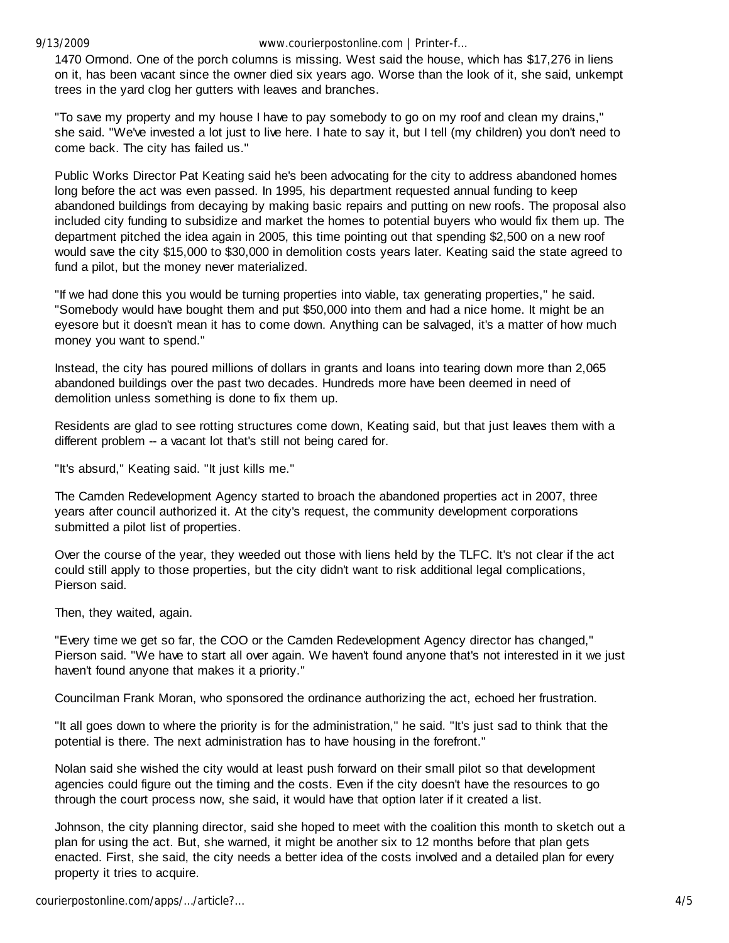9/13/2009 www.courierpostonline.com | Printer-f…

1470 Ormond. One of the porch columns is missing. West said the house, which has \$17,276 in liens on it, has been vacant since the owner died six years ago. Worse than the look of it, she said, unkempt trees in the yard clog her gutters with leaves and branches.

"To save my property and my house I have to pay somebody to go on my roof and clean my drains," she said. "We've invested a lot just to live here. I hate to say it, but I tell (my children) you don't need to come back. The city has failed us."

Public Works Director Pat Keating said he's been advocating for the city to address abandoned homes long before the act was even passed. In 1995, his department requested annual funding to keep abandoned buildings from decaying by making basic repairs and putting on new roofs. The proposal also included city funding to subsidize and market the homes to potential buyers who would fix them up. The department pitched the idea again in 2005, this time pointing out that spending \$2,500 on a new roof would save the city \$15,000 to \$30,000 in demolition costs years later. Keating said the state agreed to fund a pilot, but the money never materialized.

"If we had done this you would be turning properties into viable, tax generating properties," he said. "Somebody would have bought them and put \$50,000 into them and had a nice home. It might be an eyesore but it doesn't mean it has to come down. Anything can be salvaged, it's a matter of how much money you want to spend."

Instead, the city has poured millions of dollars in grants and loans into tearing down more than 2,065 abandoned buildings over the past two decades. Hundreds more have been deemed in need of demolition unless something is done to fix them up.

Residents are glad to see rotting structures come down, Keating said, but that just leaves them with a different problem -- a vacant lot that's still not being cared for.

"It's absurd," Keating said. "It just kills me."

The Camden Redevelopment Agency started to broach the abandoned properties act in 2007, three years after council authorized it. At the city's request, the community development corporations submitted a pilot list of properties.

Over the course of the year, they weeded out those with liens held by the TLFC. It's not clear if the act could still apply to those properties, but the city didn't want to risk additional legal complications, Pierson said.

Then, they waited, again.

"Every time we get so far, the COO or the Camden Redevelopment Agency director has changed," Pierson said. "We have to start all over again. We haven't found anyone that's not interested in it we just haven't found anyone that makes it a priority."

Councilman Frank Moran, who sponsored the ordinance authorizing the act, echoed her frustration.

"It all goes down to where the priority is for the administration," he said. "It's just sad to think that the potential is there. The next administration has to have housing in the forefront."

Nolan said she wished the city would at least push forward on their small pilot so that development agencies could figure out the timing and the costs. Even if the city doesn't have the resources to go through the court process now, she said, it would have that option later if it created a list.

Johnson, the city planning director, said she hoped to meet with the coalition this month to sketch out a plan for using the act. But, she warned, it might be another six to 12 months before that plan gets enacted. First, she said, the city needs a better idea of the costs involved and a detailed plan for every property it tries to acquire.